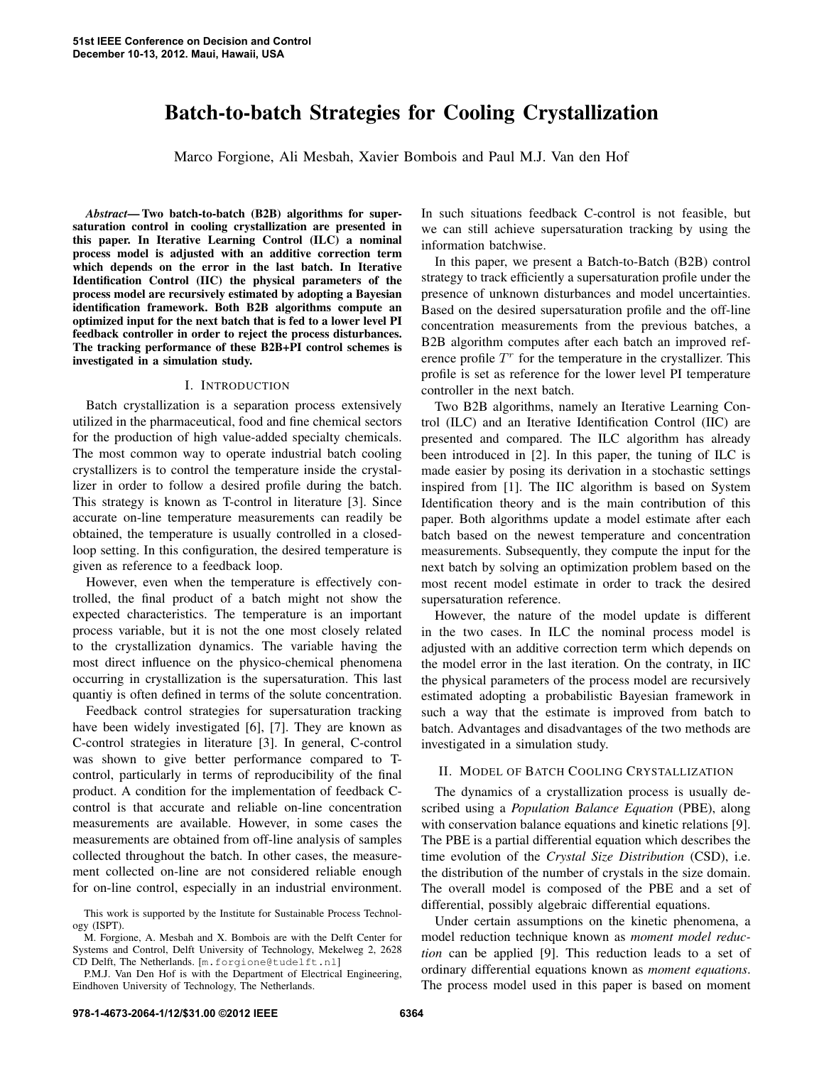# Batch-to-batch Strategies for Cooling Crystallization

Marco Forgione, Ali Mesbah, Xavier Bombois and Paul M.J. Van den Hof

*Abstract*— Two batch-to-batch (B2B) algorithms for supersaturation control in cooling crystallization are presented in this paper. In Iterative Learning Control (ILC) a nominal process model is adjusted with an additive correction term which depends on the error in the last batch. In Iterative Identification Control (IIC) the physical parameters of the process model are recursively estimated by adopting a Bayesian identification framework. Both B2B algorithms compute an optimized input for the next batch that is fed to a lower level PI feedback controller in order to reject the process disturbances. The tracking performance of these B2B+PI control schemes is investigated in a simulation study.

#### I. INTRODUCTION

Batch crystallization is a separation process extensively utilized in the pharmaceutical, food and fine chemical sectors for the production of high value-added specialty chemicals. The most common way to operate industrial batch cooling crystallizers is to control the temperature inside the crystallizer in order to follow a desired profile during the batch. This strategy is known as T-control in literature [3]. Since accurate on-line temperature measurements can readily be obtained, the temperature is usually controlled in a closedloop setting. In this configuration, the desired temperature is given as reference to a feedback loop.

However, even when the temperature is effectively controlled, the final product of a batch might not show the expected characteristics. The temperature is an important process variable, but it is not the one most closely related to the crystallization dynamics. The variable having the most direct influence on the physico-chemical phenomena occurring in crystallization is the supersaturation. This last quantiy is often defined in terms of the solute concentration.

Feedback control strategies for supersaturation tracking have been widely investigated [6], [7]. They are known as C-control strategies in literature [3]. In general, C-control was shown to give better performance compared to Tcontrol, particularly in terms of reproducibility of the final product. A condition for the implementation of feedback Ccontrol is that accurate and reliable on-line concentration measurements are available. However, in some cases the measurements are obtained from off-line analysis of samples collected throughout the batch. In other cases, the measurement collected on-line are not considered reliable enough for on-line control, especially in an industrial environment.

In such situations feedback C-control is not feasible, but we can still achieve supersaturation tracking by using the information batchwise.

In this paper, we present a Batch-to-Batch (B2B) control strategy to track efficiently a supersaturation profile under the presence of unknown disturbances and model uncertainties. Based on the desired supersaturation profile and the off-line concentration measurements from the previous batches, a B2B algorithm computes after each batch an improved reference profile  $T<sup>r</sup>$  for the temperature in the crystallizer. This profile is set as reference for the lower level PI temperature controller in the next batch.

Two B2B algorithms, namely an Iterative Learning Control (ILC) and an Iterative Identification Control (IIC) are presented and compared. The ILC algorithm has already been introduced in [2]. In this paper, the tuning of ILC is made easier by posing its derivation in a stochastic settings inspired from [1]. The IIC algorithm is based on System Identification theory and is the main contribution of this paper. Both algorithms update a model estimate after each batch based on the newest temperature and concentration measurements. Subsequently, they compute the input for the next batch by solving an optimization problem based on the most recent model estimate in order to track the desired supersaturation reference.

However, the nature of the model update is different in the two cases. In ILC the nominal process model is adjusted with an additive correction term which depends on the model error in the last iteration. On the contraty, in IIC the physical parameters of the process model are recursively estimated adopting a probabilistic Bayesian framework in such a way that the estimate is improved from batch to batch. Advantages and disadvantages of the two methods are investigated in a simulation study.

# II. MODEL OF BATCH COOLING CRYSTALLIZATION

The dynamics of a crystallization process is usually described using a *Population Balance Equation* (PBE), along with conservation balance equations and kinetic relations [9]. The PBE is a partial differential equation which describes the time evolution of the *Crystal Size Distribution* (CSD), i.e. the distribution of the number of crystals in the size domain. The overall model is composed of the PBE and a set of differential, possibly algebraic differential equations.

Under certain assumptions on the kinetic phenomena, a model reduction technique known as *moment model reduction* can be applied [9]. This reduction leads to a set of ordinary differential equations known as *moment equations*. The process model used in this paper is based on moment

This work is supported by the Institute for Sustainable Process Technology (ISPT).

M. Forgione, A. Mesbah and X. Bombois are with the Delft Center for Systems and Control, Delft University of Technology, Mekelweg 2, 2628 CD Delft, The Netherlands. [m.forgione@tudelft.nl]

P.M.J. Van Den Hof is with the Department of Electrical Engineering, Eindhoven University of Technology, The Netherlands.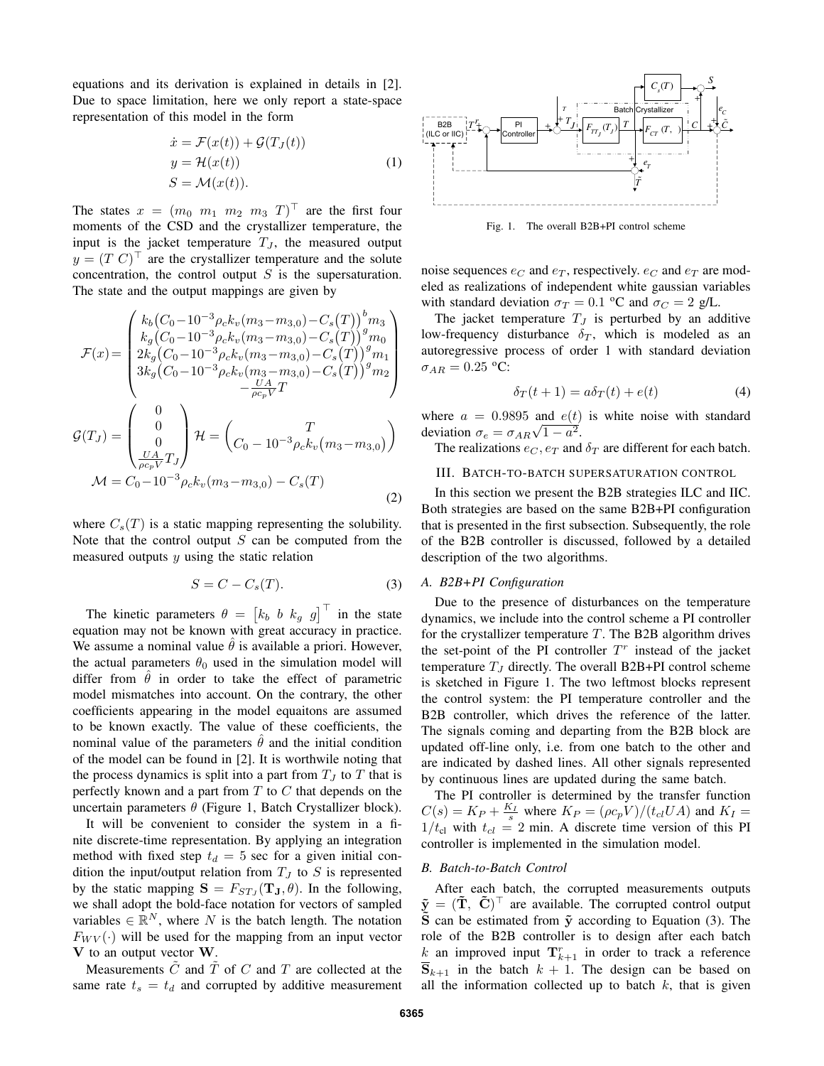equations and its derivation is explained in details in [2]. Due to space limitation, here we only report a state-space representation of this model in the form

$$
\begin{aligned}\n\dot{x} &= \mathcal{F}(x(t)) + \mathcal{G}(T_J(t)) \\
y &= \mathcal{H}(x(t)) \\
S &= \mathcal{M}(x(t)).\n\end{aligned} \tag{1}
$$

The states  $x = (m_0 \ m_1 \ m_2 \ m_3 \ T)^T$  are the first four moments of the CSD and the crystallizer temperature, the input is the jacket temperature  $T_J$ , the measured output  $y = (T C)^{\top}$  are the crystallizer temperature and the solute concentration, the control output  $S$  is the supersaturation. The state and the output mappings are given by

$$
\mathcal{F}(x) = \begin{pmatrix} k_b(C_0 - 10^{-3} \rho_c k_v(m_3 - m_{3,0}) - C_s(T))^b m_3 \\ k_g(C_0 - 10^{-3} \rho_c k_v(m_3 - m_{3,0}) - C_s(T))^g m_0 \\ 2k_g(C_0 - 10^{-3} \rho_c k_v(m_3 - m_{3,0}) - C_s(T))^g m_1 \\ 3k_g(C_0 - 10^{-3} \rho_c k_v(m_3 - m_{3,0}) - C_s(T))^g m_2 \\ - \frac{UA}{\rho c_p V} T \end{pmatrix}
$$

$$
\mathcal{G}(T_J) = \begin{pmatrix} 0 \\ 0 \\ 0 \\ \frac{UA}{\rho c_p V} T_J \end{pmatrix} \mathcal{H} = \begin{pmatrix} T \\ C_0 - 10^{-3} \rho_c k_v(m_3 - m_{3,0}) \end{pmatrix}
$$

$$
\mathcal{M} = C_0 - 10^{-3} \rho_c k_v(m_3 - m_{3,0}) - C_s(T) \tag{2}
$$

where  $C_s(T)$  is a static mapping representing the solubility. Note that the control output  $S$  can be computed from the measured outputs  $y$  using the static relation

$$
S = C - C_s(T). \tag{3}
$$

The kinetic parameters  $\theta = \begin{bmatrix} k_b & b & k_g & g \end{bmatrix}^\top$  in the state equation may not be known with great accuracy in practice. We assume a nominal value  $\theta$  is available a priori. However, the actual parameters  $\theta_0$  used in the simulation model will differ from  $\theta$  in order to take the effect of parametric model mismatches into account. On the contrary, the other coefficients appearing in the model equaitons are assumed to be known exactly. The value of these coefficients, the nominal value of the parameters  $\hat{\theta}$  and the initial condition of the model can be found in [2]. It is worthwile noting that the process dynamics is split into a part from  $T_J$  to  $T$  that is perfectly known and a part from  $T$  to  $C$  that depends on the uncertain parameters  $\theta$  (Figure 1, Batch Crystallizer block).

It will be convenient to consider the system in a finite discrete-time representation. By applying an integration method with fixed step  $t_d = 5$  sec for a given initial condition the input/output relation from  $T_J$  to S is represented by the static mapping  $S = F_{STJ}(\mathbf{T}_J, \theta)$ . In the following, we shall adopt the bold-face notation for vectors of sampled variables  $\in \mathbb{R}^N$ , where N is the batch length. The notation  $F_{W V}(\cdot)$  will be used for the mapping from an input vector V to an output vector W.

Measurements  $\tilde{C}$  and  $\tilde{T}$  of C and T are collected at the same rate  $t_s = t_d$  and corrupted by additive measurement



Fig. 1. The overall B2B+PI control scheme

noise sequences  $e_C$  and  $e_T$ , respectively.  $e_C$  and  $e_T$  are modeled as realizations of independent white gaussian variables with standard deviation  $\sigma_T = 0.1$  °C and  $\sigma_C = 2$  g/L.

The jacket temperature  $T_J$  is perturbed by an additive low-frequency disturbance  $\delta_T$ , which is modeled as an autoregressive process of order 1 with standard deviation  $\sigma_{AR} = 0.25$  °C:

$$
\delta_T(t+1) = a\delta_T(t) + e(t) \tag{4}
$$

where  $a = 0.9895$  and  $e(t)$  is white noise with standard deviation  $\sigma_e = \sigma_{AR} \sqrt{1 - a^2}$ .

The realizations  $e_C$ ,  $e_T$  and  $\delta_T$  are different for each batch.

## III. BATCH-TO-BATCH SUPERSATURATION CONTROL

In this section we present the B2B strategies ILC and IIC. Both strategies are based on the same B2B+PI configuration that is presented in the first subsection. Subsequently, the role of the B2B controller is discussed, followed by a detailed description of the two algorithms.

#### *A. B2B+PI Configuration*

Due to the presence of disturbances on the temperature dynamics, we include into the control scheme a PI controller for the crystallizer temperature  $T$ . The B2B algorithm drives the set-point of the PI controller  $T<sup>r</sup>$  instead of the jacket temperature  $T_J$  directly. The overall B2B+PI control scheme is sketched in Figure 1. The two leftmost blocks represent the control system: the PI temperature controller and the B2B controller, which drives the reference of the latter. The signals coming and departing from the B2B block are updated off-line only, i.e. from one batch to the other and are indicated by dashed lines. All other signals represented by continuous lines are updated during the same batch.

The PI controller is determined by the transfer function  $C(s) = K_P + \frac{K_I}{s}$  where  $K_P = (\rho c_p V)/(t_{cl} U A)$  and  $K_I =$  $1/t_{\text{cl}}$  with  $t_{\text{cl}} = 2$  min. A discrete time version of this PI controller is implemented in the simulation model.

# *B. Batch-to-Batch Control*

After each batch, the corrupted measurements outputs  $\tilde{\mathbf{y}} = (\tilde{\mathbf{T}}, \tilde{\mathbf{C}})^{\top}$  are available. The corrupted control output  $\tilde{S}$  can be estimated from  $\tilde{y}$  according to Equation (3). The role of the B2B controller is to design after each batch k an improved input  $\mathbf{T}_{k+1}^r$  in order to track a reference  $\overline{S}_{k+1}$  in the batch  $k + 1$ . The design can be based on all the information collected up to batch  $k$ , that is given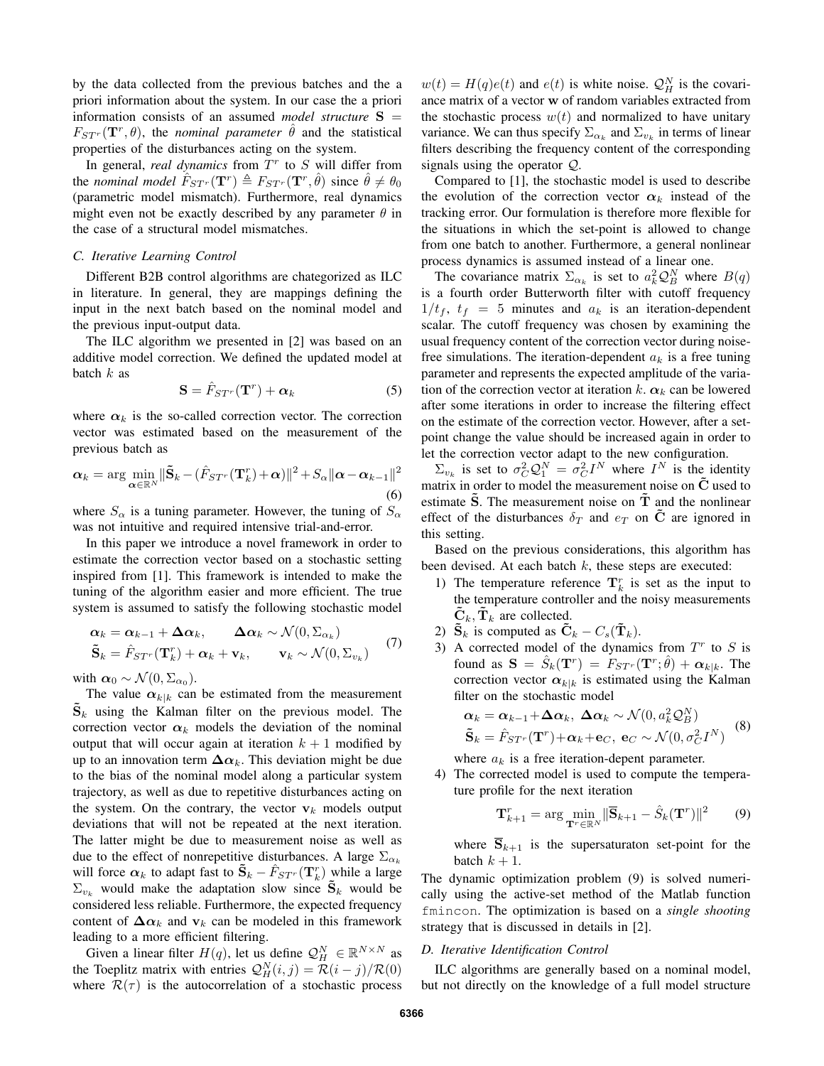by the data collected from the previous batches and the a priori information about the system. In our case the a priori information consists of an assumed *model structure* S =  $F_{STr}(\mathbf{T}^r, \theta)$ , the *nominal parameter*  $\hat{\theta}$  and the statistical properties of the disturbances acting on the system.

In general, *real dynamics* from  $T<sup>r</sup>$  to  $S$  will differ from the *nominal model*  $\hat{F}_{STr}(\mathbf{T}^r) \triangleq F_{STr}(\mathbf{T}^r, \hat{\theta})$  since  $\hat{\theta} \neq \theta_0$ (parametric model mismatch). Furthermore, real dynamics might even not be exactly described by any parameter  $\theta$  in the case of a structural model mismatches.

#### *C. Iterative Learning Control*

Different B2B control algorithms are chategorized as ILC in literature. In general, they are mappings defining the input in the next batch based on the nominal model and the previous input-output data.

The ILC algorithm we presented in [2] was based on an additive model correction. We defined the updated model at batch  $k$  as

$$
\mathbf{S} = \hat{F}_{ST^r}(\mathbf{T}^r) + \alpha_k \tag{5}
$$

where  $\alpha_k$  is the so-called correction vector. The correction vector was estimated based on the measurement of the previous batch as

$$
\boldsymbol{\alpha}_{k} = \arg \min_{\boldsymbol{\alpha} \in \mathbb{R}^{N}} \|\tilde{\mathbf{S}}_{k} - (\hat{F}_{ST}(\mathbf{T}_{k}^{r}) + \boldsymbol{\alpha})\|^{2} + S_{\alpha} \|\boldsymbol{\alpha} - \boldsymbol{\alpha}_{k-1}\|^{2}
$$
\n(6)

where  $S_{\alpha}$  is a tuning parameter. However, the tuning of  $S_{\alpha}$ was not intuitive and required intensive trial-and-error.

In this paper we introduce a novel framework in order to estimate the correction vector based on a stochastic setting inspired from [1]. This framework is intended to make the tuning of the algorithm easier and more efficient. The true system is assumed to satisfy the following stochastic model

$$
\begin{aligned}\n\boldsymbol{\alpha}_k &= \boldsymbol{\alpha}_{k-1} + \boldsymbol{\Delta}\boldsymbol{\alpha}_k, & \boldsymbol{\Delta}\boldsymbol{\alpha}_k & \sim \mathcal{N}(0, \boldsymbol{\Sigma}_{\alpha_k}) \\
\tilde{\mathbf{S}}_k &= \hat{F}_{ST^r}(\mathbf{T}_k^r) + \boldsymbol{\alpha}_k + \mathbf{v}_k, & \mathbf{v}_k & \sim \mathcal{N}(0, \boldsymbol{\Sigma}_{v_k})\n\end{aligned} \tag{7}
$$

with  $\alpha_0 \sim \mathcal{N}(0, \Sigma_{\alpha_0}).$ 

The value  $\alpha_{k|k}$  can be estimated from the measurement  $\mathbf{S}_k$  using the Kalman filter on the previous model. The correction vector  $\alpha_k$  models the deviation of the nominal output that will occur again at iteration  $k + 1$  modified by up to an innovation term  $\Delta \alpha_k$ . This deviation might be due to the bias of the nominal model along a particular system trajectory, as well as due to repetitive disturbances acting on the system. On the contrary, the vector  $v_k$  models output deviations that will not be repeated at the next iteration. The latter might be due to measurement noise as well as due to the effect of nonrepetitive disturbances. A large  $\Sigma_{\alpha_k}$ will force  $\alpha_k$  to adapt fast to  $\tilde{\mathbf{S}}_k - \hat{F}_{ST^r}(\mathbf{T}_k^r)$  while a large  $\Sigma_{v_k}$  would make the adaptation slow since  $S_k$  would be considered less reliable. Furthermore, the expected frequency content of  $\Delta \alpha_k$  and  $v_k$  can be modeled in this framework leading to a more efficient filtering.

Given a linear filter  $H(q)$ , let us define  $\mathcal{Q}_H^N \in \mathbb{R}^{N \times N}$  as the Toeplitz matrix with entries  $Q_H^N(i, j) = \mathcal{R}(i - j)/\mathcal{R}(0)$ where  $\mathcal{R}(\tau)$  is the autocorrelation of a stochastic process

 $w(t) = H(q)e(t)$  and  $e(t)$  is white noise.  $\mathcal{Q}_H^N$  is the covariance matrix of a vector w of random variables extracted from the stochastic process  $w(t)$  and normalized to have unitary variance. We can thus specify  $\Sigma_{\alpha_k}$  and  $\Sigma_{v_k}$  in terms of linear filters describing the frequency content of the corresponding signals using the operator Q.

Compared to [1], the stochastic model is used to describe the evolution of the correction vector  $\alpha_k$  instead of the tracking error. Our formulation is therefore more flexible for the situations in which the set-point is allowed to change from one batch to another. Furthermore, a general nonlinear process dynamics is assumed instead of a linear one.

The covariance matrix  $\Sigma_{\alpha_k}$  is set to  $a_k^2 Q_B^N$  where  $B(q)$ is a fourth order Butterworth filter with cutoff frequency  $1/t_f$ ,  $t_f$  = 5 minutes and  $a_k$  is an iteration-dependent scalar. The cutoff frequency was chosen by examining the usual frequency content of the correction vector during noisefree simulations. The iteration-dependent  $a_k$  is a free tuning parameter and represents the expected amplitude of the variation of the correction vector at iteration k.  $\alpha_k$  can be lowered after some iterations in order to increase the filtering effect on the estimate of the correction vector. However, after a setpoint change the value should be increased again in order to let the correction vector adapt to the new configuration.

 $\Sigma_{v_k}$  is set to  $\sigma_C^2 Q_1^N = \sigma_C^2 I^N$  where  $I^N$  is the identity matrix in order to model the measurement noise on  $\tilde{C}$  used to estimate  $\hat{S}$ . The measurement noise on  $\hat{T}$  and the nonlinear effect of the disturbances  $\delta_T$  and  $e_T$  on  $\tilde{C}$  are ignored in this setting.

Based on the previous considerations, this algorithm has been devised. At each batch  $k$ , these steps are executed:

- 1) The temperature reference  $\mathbf{T}_k^r$  is set as the input to the temperature controller and the noisy measurements  $\mathbf{C}_k$ ,  $\mathbf{T}_k$  are collected.
- 2)  $\bar{\mathbf{S}}_k$  is computed as  $\tilde{\mathbf{C}}_k C_s(\tilde{\mathbf{T}}_k)$ .
- 3) A corrected model of the dynamics from  $T<sup>r</sup>$  to S is found as  $S = \hat{S}_k(\mathbf{T}^r) = F_{ST^r}(\mathbf{T}^r; \hat{\theta}) + \alpha_{k|k}$ . The correction vector  $\alpha_{k|k}$  is estimated using the Kalman filter on the stochastic model

$$
\alpha_k = \alpha_{k-1} + \Delta \alpha_k, \ \Delta \alpha_k \sim \mathcal{N}(0, a_k^2 \mathcal{Q}_B^N)
$$
  

$$
\tilde{\mathbf{S}}_k = \hat{F}_{ST^r}(\mathbf{T}^r) + \alpha_k + \mathbf{e}_C, \ \mathbf{e}_C \sim \mathcal{N}(0, \sigma_C^2 I^N)
$$
 (8)

where  $a_k$  is a free iteration-depent parameter.

4) The corrected model is used to compute the temperature profile for the next iteration

$$
\mathbf{T}_{k+1}^r = \arg\min_{\mathbf{T}^r \in \mathbb{R}^N} \|\overline{\mathbf{S}}_{k+1} - \hat{S}_k(\mathbf{T}^r)\|^2 \qquad (9)
$$

where  $\overline{S}_{k+1}$  is the supersaturaton set-point for the batch  $k + 1$ .

The dynamic optimization problem (9) is solved numerically using the active-set method of the Matlab function fmincon. The optimization is based on a *single shooting* strategy that is discussed in details in [2].

#### *D. Iterative Identification Control*

ILC algorithms are generally based on a nominal model, but not directly on the knowledge of a full model structure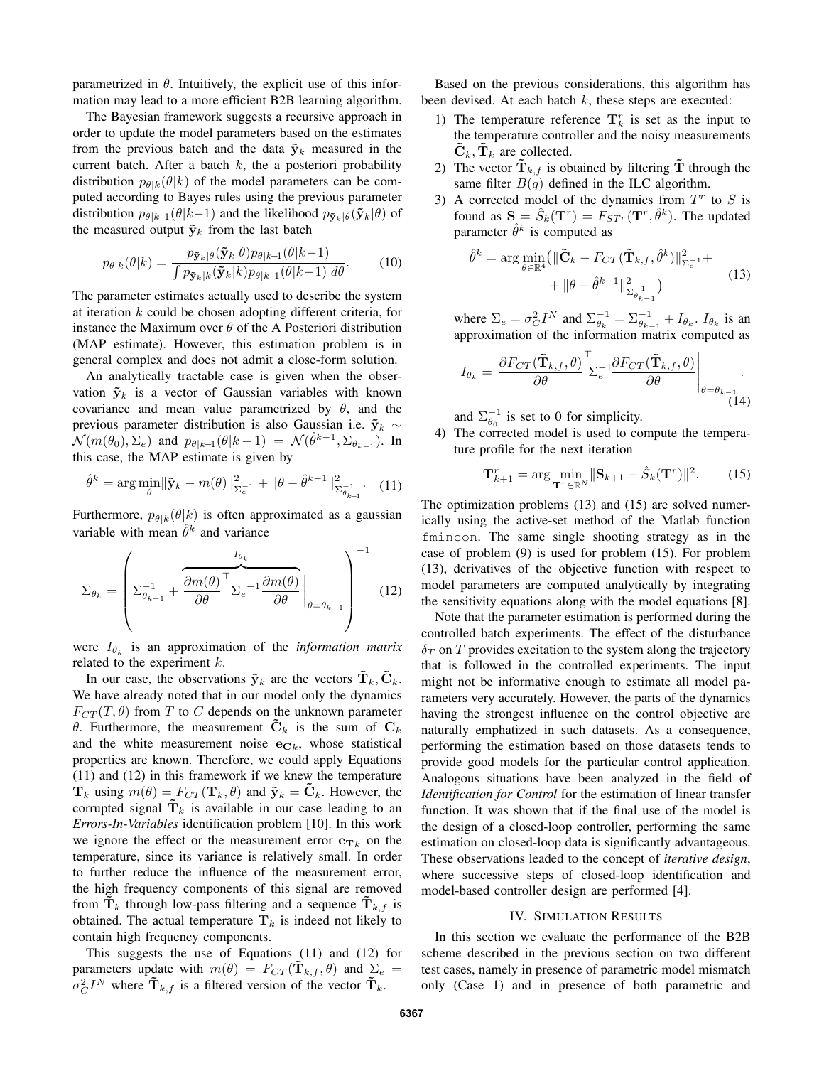parametrized in  $\theta$ . Intuitively, the explicit use of this information may lead to a more efficient B2B learning algorithm.

The Bayesian framework suggests a recursive approach in order to update the model parameters based on the estimates from the previous batch and the data  $\tilde{\mathbf{y}}_k$  measured in the current batch. After a batch  $k$ , the a posteriori probability distribution  $p_{\theta|k}(\theta|k)$  of the model parameters can be computed according to Bayes rules using the previous parameter distribution  $p_{\theta|k-1}(\theta|k-1)$  and the likelihood  $p_{\tilde{\mathbf{y}}_k|\theta}(\tilde{\mathbf{y}}_k|\theta)$  of the measured output  $\tilde{\mathbf{y}}_k$  from the last batch

$$
p_{\theta|k}(\theta|k) = \frac{p_{\tilde{\mathbf{y}}_k|\theta}(\tilde{\mathbf{y}}_k|\theta) p_{\theta|k-1}(\theta|k-1)}{\int p_{\tilde{\mathbf{y}}_k|k}(\tilde{\mathbf{y}}_k|k) p_{\theta|k-1}(\theta|k-1) \, d\theta}.
$$
 (10)

The parameter estimates actually used to describe the system at iteration k could be chosen adopting different criteria, for instance the Maximum over  $\theta$  of the A Posteriori distribution (MAP estimate). However, this estimation problem is in general complex and does not admit a close-form solution.

An analytically tractable case is given when the observation  $\tilde{\mathbf{y}}_k$  is a vector of Gaussian variables with known covariance and mean value parametrized by  $\theta$ , and the previous parameter distribution is also Gaussian i.e.  $\tilde{\mathbf{y}}_k$  ∼  $\mathcal{N}(m(\theta_0), \Sigma_e)$  and  $p_{\theta|k-1}(\theta|k-1) = \mathcal{N}(\hat{\theta}^{k-1}, \Sigma_{\theta_{k-1}})$ . In this case, the MAP estimate is given by

$$
\hat{\theta}^k = \arg \min_{\theta} \|\tilde{\mathbf{y}}_k - m(\theta)\|_{\Sigma_e^{-1}}^2 + \|\theta - \hat{\theta}^{k-1}\|_{\Sigma_{\theta_{k-1}}^{-1}}^2. \tag{11}
$$

Furthermore,  $p_{\theta|k}(\theta|k)$  is often approximated as a gaussian variable with mean  $\hat{\theta}^k$  and variance

$$
\Sigma_{\theta_k} = \left( \Sigma_{\theta_{k-1}}^{-1} + \frac{\overline{\partial m(\theta)}^{\top} \Sigma_e^{-1} \frac{\partial m(\theta)}{\partial \theta}}{\Sigma_e^{-1} \frac{\partial m(\theta)}{\partial \theta}} \bigg|_{\theta = \theta_{k-1}} \right)^{-1}
$$
(12)

were  $I_{\theta_k}$  is an approximation of the *information matrix* related to the experiment  $k$ .

In our case, the observations  $\tilde{\mathbf{y}}_k$  are the vectors  $\mathbf{T}_k, \mathbf{C}_k$ . We have already noted that in our model only the dynamics  $F_{CT}(T, \theta)$  from T to C depends on the unknown parameter θ. Furthermore, the measurement  $\mathbf{C}_k$  is the sum of  $\mathbf{C}_k$ and the white measurement noise  $e_{C_k}$ , whose statistical properties are known. Therefore, we could apply Equations (11) and (12) in this framework if we knew the temperature  $\mathbf{T}_k$  using  $m(\theta) = F_{CT}(\mathbf{T}_k, \theta)$  and  $\tilde{\mathbf{y}}_k = \mathbf{C}_k$ . However, the corrupted signal  $\tilde{\mathbf{T}}_k$  is available in our case leading to an *Errors-In-Variables* identification problem [10]. In this work we ignore the effect or the measurement error  $e_{T_k}$  on the temperature, since its variance is relatively small. In order to further reduce the influence of the measurement error, the high frequency components of this signal are removed from  $\mathbf{T}_k$  through low-pass filtering and a sequence  $\mathbf{T}_{k,f}$  is obtained. The actual temperature  $\mathbf{T}_k$  is indeed not likely to contain high frequency components.

This suggests the use of Equations (11) and (12) for parameters update with  $m(\theta) = F_{CT}(\mathbf{T}_{k,f}, \theta)$  and  $\Sigma_e$  =  $\sigma_C^2 I^N$  where  $\tilde{\mathbf{T}}_{k,f}$  is a filtered version of the vector  $\tilde{\mathbf{T}}_k$ .

Based on the previous considerations, this algorithm has been devised. At each batch  $k$ , these steps are executed:

- 1) The temperature reference  $\mathbf{T}_k^r$  is set as the input to the temperature controller and the noisy measurements  $\mathbf{C}_k, \mathbf{T}_k$  are collected.
- 2) The vector  $\mathbf{T}_{k,f}$  is obtained by filtering  $\mathbf T$  through the same filter  $B(q)$  defined in the ILC algorithm.
- 3) A corrected model of the dynamics from  $T<sup>r</sup>$  to S is found as  $S = \hat{S}_k(\mathbf{T}^r) = F_{ST^r}(\mathbf{T}^r, \hat{\theta}^k)$ . The updated parameter  $\hat{\theta}^k$  is computed as

$$
\hat{\theta}^k = \arg \min_{\theta \in \mathbb{R}^4} \left( \|\tilde{\mathbf{C}}_k - F_{CT}(\tilde{\mathbf{T}}_{k,f}, \hat{\theta}^k) \|_{\Sigma_e^{-1}}^2 + \right. \\
 \left. + \|\theta - \hat{\theta}^{k-1}\|_{\Sigma_{\theta_{k-1}}^{-1}}^2 \right) \tag{13}
$$

where  $\Sigma_e = \sigma_C^2 I^N$  and  $\Sigma_{\theta_k}^{-1} = \Sigma_{\theta_{k-1}}^{-1} + I_{\theta_k}$ .  $I_{\theta_k}$  is an approximation of the information matrix computed as

$$
I_{\theta_k} = \left. \frac{\partial F_{CT}(\tilde{\mathbf{T}}_{k,f}, \theta)}{\partial \theta} \right|_{\Sigma_e^{-1}} = \left. \frac{\partial F_{CT}(\tilde{\mathbf{T}}_{k,f}, \theta)}{\partial \theta} \right|_{\theta = \theta_{k-1}}.
$$
\n(14)

and  $\Sigma_{\theta_0}^{-1}$  is set to 0 for simplicity.

4) The corrected model is used to compute the temperature profile for the next iteration

$$
\mathbf{T}_{k+1}^r = \arg \min_{\mathbf{T}^r \in \mathbb{R}^N} \|\overline{\mathbf{S}}_{k+1} - \hat{S}_k(\mathbf{T}^r)\|^2. \tag{15}
$$

The optimization problems (13) and (15) are solved numerically using the active-set method of the Matlab function fmincon. The same single shooting strategy as in the case of problem (9) is used for problem (15). For problem (13), derivatives of the objective function with respect to model parameters are computed analytically by integrating the sensitivity equations along with the model equations [8].

Note that the parameter estimation is performed during the controlled batch experiments. The effect of the disturbance  $\delta_T$  on T provides excitation to the system along the trajectory that is followed in the controlled experiments. The input might not be informative enough to estimate all model parameters very accurately. However, the parts of the dynamics having the strongest influence on the control objective are naturally emphatized in such datasets. As a consequence, performing the estimation based on those datasets tends to provide good models for the particular control application. Analogous situations have been analyzed in the field of *Identification for Control* for the estimation of linear transfer function. It was shown that if the final use of the model is the design of a closed-loop controller, performing the same estimation on closed-loop data is significantly advantageous. These observations leaded to the concept of *iterative design*, where successive steps of closed-loop identification and model-based controller design are performed [4].

#### IV. SIMULATION RESULTS

In this section we evaluate the performance of the B2B scheme described in the previous section on two different test cases, namely in presence of parametric model mismatch only (Case 1) and in presence of both parametric and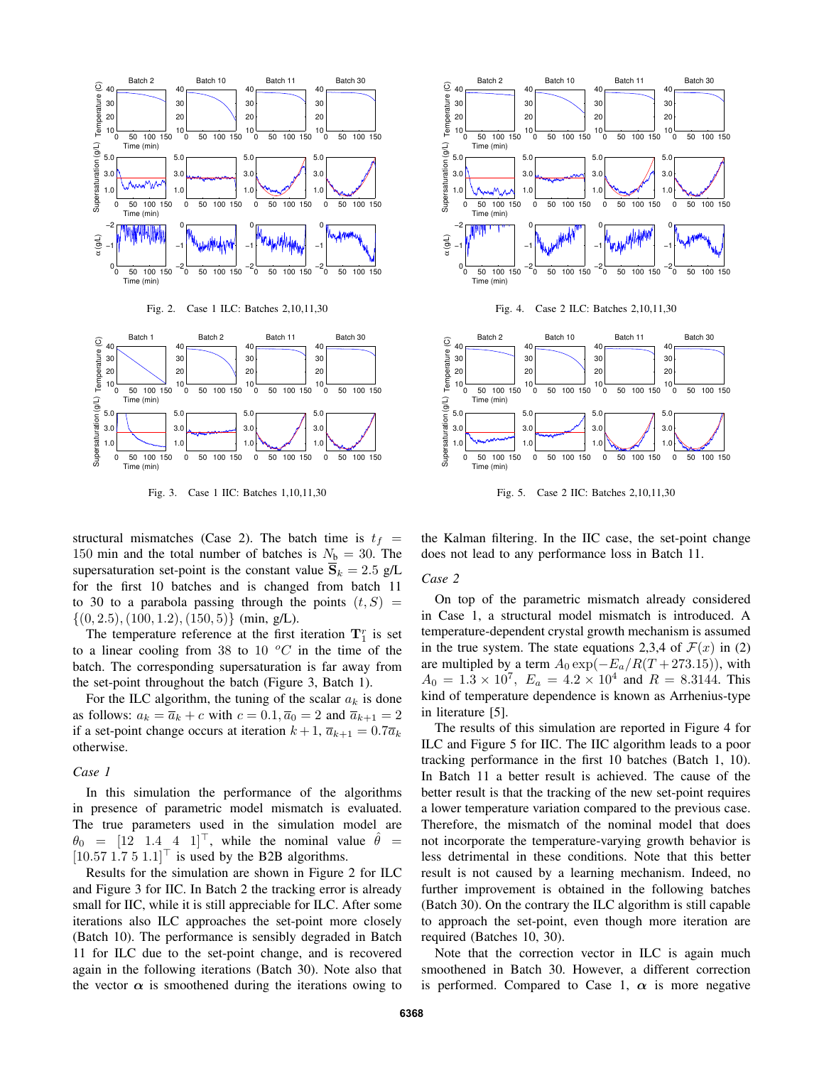

Fig. 3. Case 1 IIC: Batches 1,10,11,30

structural mismatches (Case 2). The batch time is  $t_f$  = 150 min and the total number of batches is  $N_b = 30$ . The supersaturation set-point is the constant value  $\overline{S}_k = 2.5$  g/L for the first 10 batches and is changed from batch 11 to 30 to a parabola passing through the points  $(t, S)$  =  $\{(0, 2.5), (100, 1.2), (150, 5)\}$  (min, g/L).

The temperature reference at the first iteration  $\mathbf{T}_1^r$  is set to a linear cooling from 38 to 10  $^{\circ}C$  in the time of the batch. The corresponding supersaturation is far away from the set-point throughout the batch (Figure 3, Batch 1).

For the ILC algorithm, the tuning of the scalar  $a_k$  is done as follows:  $a_k = \overline{a}_k + c$  with  $c = 0.1, \overline{a}_0 = 2$  and  $\overline{a}_{k+1} = 2$ if a set-point change occurs at iteration  $k + 1$ ,  $\overline{a}_{k+1} = 0.7\overline{a}_k$ otherwise.

#### *Case 1*

In this simulation the performance of the algorithms in presence of parametric model mismatch is evaluated. The true parameters used in the simulation model are  $\theta_0 = [12 \quad 1.4 \quad 4 \quad 1]^\top$ , while the nominal value  $\hat{\theta}$  =  $[10.57 \, 1.7 \, 5 \, 1.1]^\top$  is used by the B2B algorithms.

Results for the simulation are shown in Figure 2 for ILC and Figure 3 for IIC. In Batch 2 the tracking error is already small for IIC, while it is still appreciable for ILC. After some iterations also ILC approaches the set-point more closely (Batch 10). The performance is sensibly degraded in Batch 11 for ILC due to the set-point change, and is recovered again in the following iterations (Batch 30). Note also that the vector  $\alpha$  is smoothened during the iterations owing to





Fig. 5. Case 2 IIC: Batches 2,10,11,30

the Kalman filtering. In the IIC case, the set-point change does not lead to any performance loss in Batch 11.

# *Case 2*

uration

On top of the parametric mismatch already considered in Case 1, a structural model mismatch is introduced. A temperature-dependent crystal growth mechanism is assumed in the true system. The state equations 2,3,4 of  $\mathcal{F}(x)$  in (2) are multipled by a term  $A_0 \exp(-E_a/R(T + 273.15))$ , with  $A_0 = 1.3 \times 10^7$ ,  $E_a = 4.2 \times 10^4$  and  $R = 8.3144$ . This kind of temperature dependence is known as Arrhenius-type in literature [5].

The results of this simulation are reported in Figure 4 for ILC and Figure 5 for IIC. The IIC algorithm leads to a poor tracking performance in the first 10 batches (Batch 1, 10). In Batch 11 a better result is achieved. The cause of the better result is that the tracking of the new set-point requires a lower temperature variation compared to the previous case. Therefore, the mismatch of the nominal model that does not incorporate the temperature-varying growth behavior is less detrimental in these conditions. Note that this better result is not caused by a learning mechanism. Indeed, no further improvement is obtained in the following batches (Batch 30). On the contrary the ILC algorithm is still capable to approach the set-point, even though more iteration are required (Batches 10, 30).

Note that the correction vector in ILC is again much smoothened in Batch 30. However, a different correction is performed. Compared to Case 1,  $\alpha$  is more negative